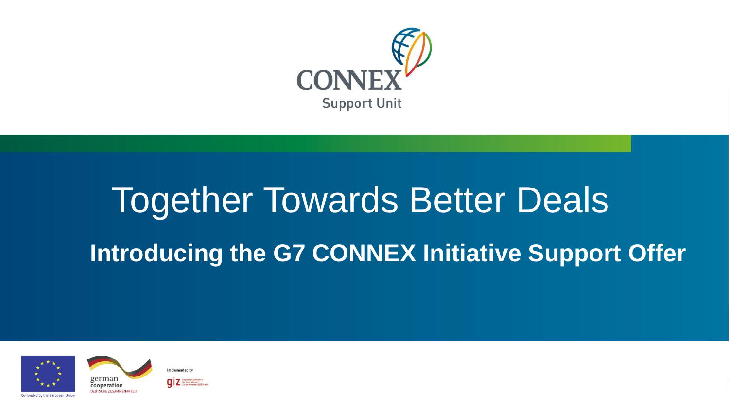

# Together Towards Better Deals **Introducing the G7 CONNEX Initiative Support Offer**





**connex-unit is a connected to the connected of the connected of the connected of the connected of the connected of the connected of the connected of the connected of the connected of the connected of the connected of the**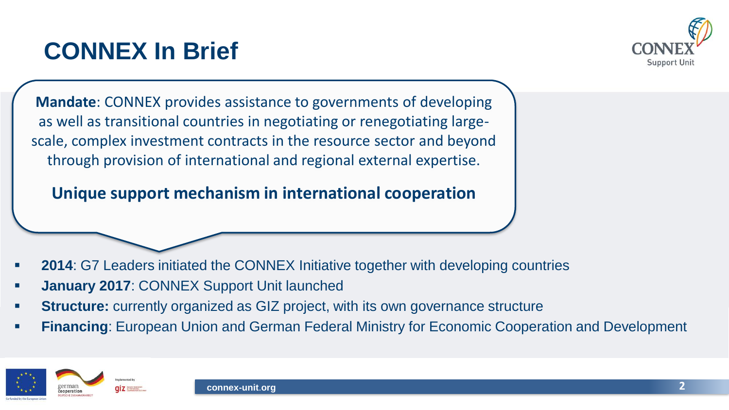#### **CONNEX In Brief**



**Mandate**: CONNEX provides assistance to governments of developing as well as transitional countries in negotiating or renegotiating largescale, complex investment contracts in the resource sector and beyond through provision of international and regional external expertise.

**Unique support mechanism in international cooperation** 

- **2014: G7 Leaders initiated the CONNEX Initiative together with developing countries**
- **January 2017**: CONNEX Support Unit launched
- **Structure:** currently organized as GIZ project, with its own governance structure
- **Financing: European Union and German Federal Ministry for Economic Cooperation and Development**

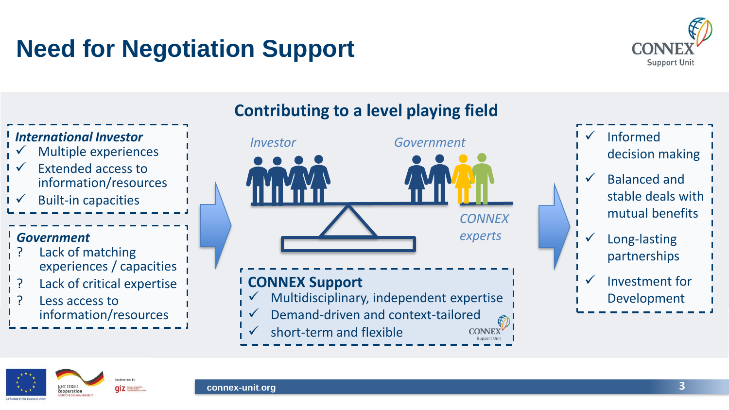### **Need for Negotiation Support**





#### **Contributing to a level playing field**



decision making Balanced and stable deals with mutual benefits Long-lasting partnerships

Investment for Development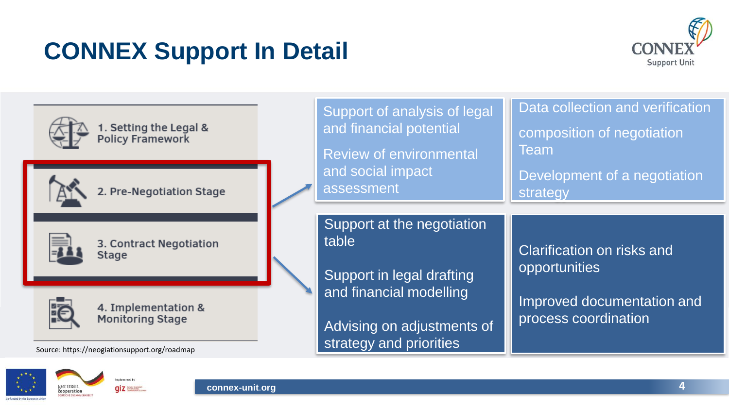### **CONNEX Support In Detail**





rermar

cooperation

 $q\bar{q}$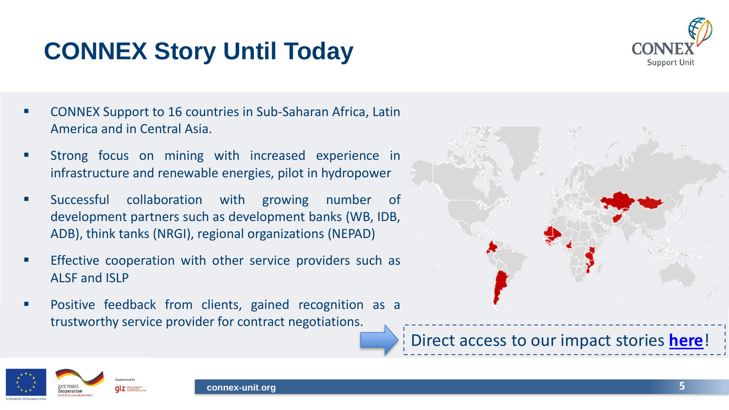### **CONNEX Story Until Today**



- CONNEX Support to 16 countries in Sub-Saharan Africa, Latin America and in Central Asia.
- Strong focus on mining with increased experience in infrastructure and renewable energies, pilot in hydropower
- Successful collaboration with growing number of development partners such as development banks (WB, IDB, ADB), think tanks (NRGI), regional organizations (NEPAD)
- **Effective cooperation with other service providers such as** ALSF and ISLP
- Positive feedback from clients, gained recognition as a trustworthy service provider for contract negotiations.



Direct access to our impact stories **[here](https://www.connex-unit.org/en/downloads/)**!

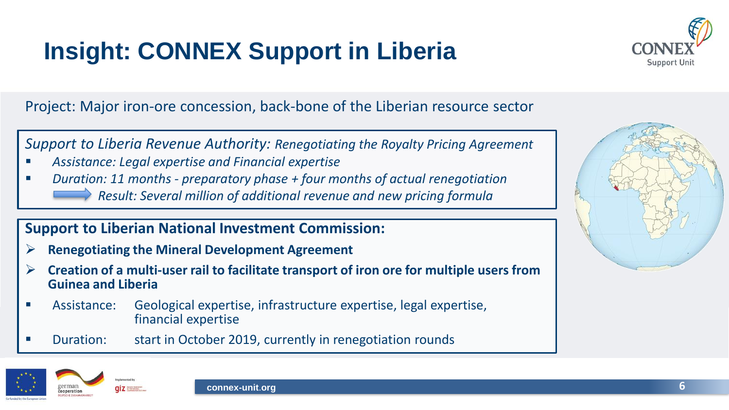### **Insight: CONNEX Support in Liberia**



Project: Major iron-ore concession, back-bone of the Liberian resource sector

*Support to Liberia Revenue Authority: Renegotiating the Royalty Pricing Agreement* 

- *Assistance: Legal expertise and Financial expertise*
- *Duration: 11 months - preparatory phase + four months of actual renegotiation Result: Several million of additional revenue and new pricing formula*

#### **Support to Liberian National Investment Commission:**

- ➢ **Renegotiating the Mineral Development Agreement**
- ➢ **Creation of a multi-user rail to facilitate transport of iron ore for multiple users from Guinea and Liberia**
- Assistance: Geological expertise, infrastructure expertise, legal expertise, financial expertise
- Duration: start in October 2019, currently in renegotiation rounds





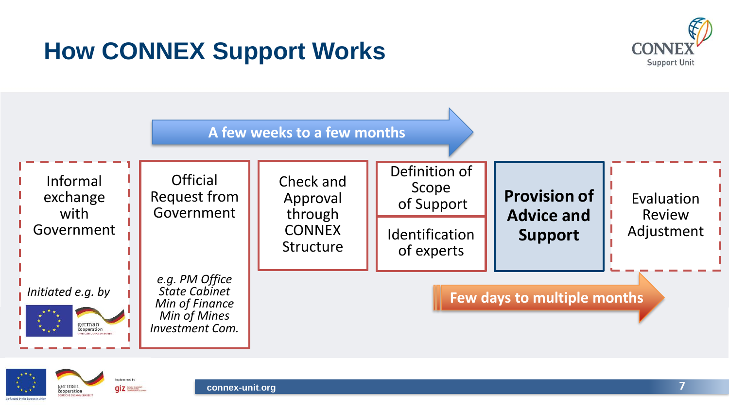### **How CONNEX Support Works**







 $qiz$ 

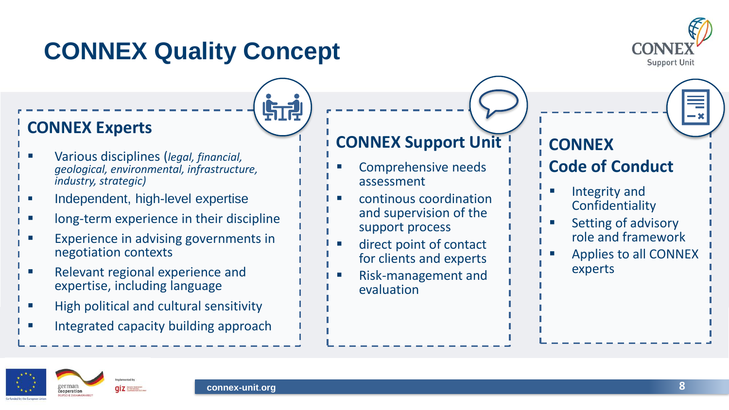### **CONNEX Quality Concept**



#### **CONNEX Experts**

- Various disciplines (*legal, financial, geological, environmental, infrastructure, industry, strategic)*
- Independent, high-level expertise
- long-term experience in their discipline
- Experience in advising governments in negotiation contexts
- Relevant regional experience and expertise, including language
- High political and cultural sensitivity
- Integrated capacity building approach

#### **CONNEX Support Unit**

- Comprehensive needs assessment
- continous coordination and supervision of the support process
- direct point of contact for clients and experts
- Risk-management and evaluation



#### **Code of Conduct**

- Integrity and Confidentiality
- Setting of advisory role and framework
- Applies to all CONNEX experts





**STA**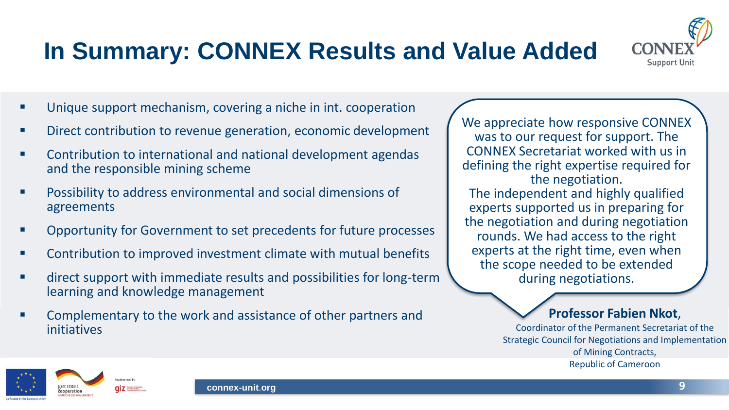### **In Summary: CONNEX Results and Value Added**



- Unique support mechanism, covering a niche in int. cooperation
- Direct contribution to revenue generation, economic development
- Contribution to international and national development agendas and the responsible mining scheme
- Possibility to address environmental and social dimensions of agreements
- Opportunity for Government to set precedents for future processes
- Contribution to improved investment climate with mutual benefits
- direct support with immediate results and possibilities for long-term learning and knowledge management
- Complementary to the work and assistance of other partners and initiatives

We appreciate how responsive CONNEX was to our request for support. The CONNEX Secretariat worked with us in defining the right expertise required for the negotiation.

The independent and highly qualified experts supported us in preparing for the negotiation and during negotiation rounds. We had access to the right experts at the right time, even when the scope needed to be extended during negotiations.

#### **Professor Fabien Nkot**,

Coordinator of the Permanent Secretariat of the Strategic Council for Negotiations and Implementation of Mining Contracts, Republic of Cameroon

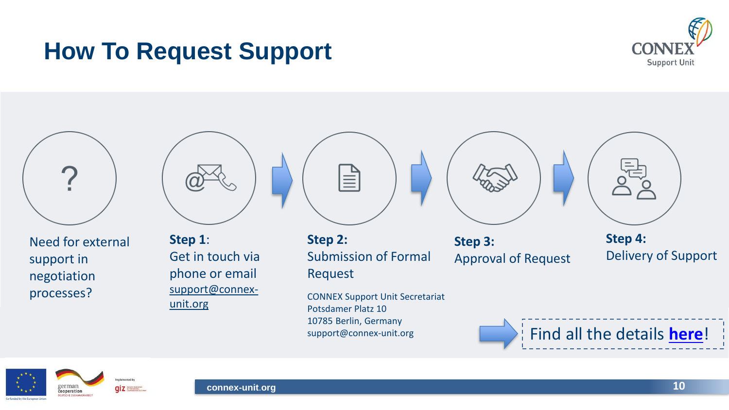

#### **How To Request Support**



Need for external support in negotiation processes?







**Step 2:** Submission of Formal Request

CONNEX Support Unit Secretariat Potsdamer Platz 10 10785 Berlin, Germany support@connex-unit.org

**Step 3:** 

Approval of Request



**Step 4:** Delivery of Support